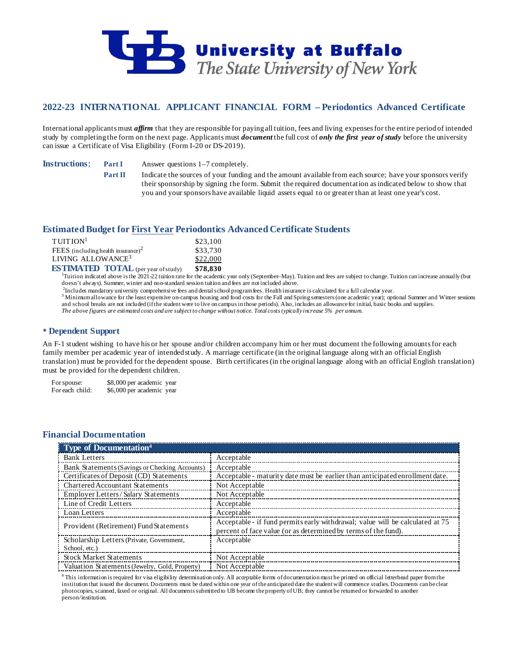

# **2022-23 INTERNATIONAL APPLICANT FINANCIAL FORM – Periodontics Advanced Certificate**

International applicants must *affirm* that they are responsible for paying all tuition, fees and living expenses for the entire period of intended study by completing the form on the next page. Applicants must *document* the full cost of *only the first year of study* before the university can issue a Certificate of Visa Eligibility (Form I-20 or DS-2019).

**Instructions: Part I** Answer questions 1–7 completely.

**Part II** Indicate the sources of your funding and the amount available from each source; have your sponsors verify their sponsorship by signing the form. Submit the required documentation as indicated below to show that you and your sponsors have available liquid assets equal to or greater than at least one year's cost.

## **Estimated Budget for First Year Periodontics Advanced Certificate Students**

| TUITION <sup>1</sup>                  | \$23,100 |
|---------------------------------------|----------|
| FEES (including health insurance) $2$ | \$33,730 |
| LIVING ALLOWANCE <sup>3</sup>         | \$22,000 |
| <b>EXTIMATED TOTAL AREA</b>           | 0.70001  |

**ESTIMATED TOTAL** (per year of study) \$78,830<br><sup>1</sup>Tuition indicated above is the 2021-22 tuition rate for the academic year only (September–May). Tuition and fees are subject to change. Tuition can increase annually (but doesn't always). Summer, winter and non-standard session tuition and fees are not included above.

<sup>2</sup>Includes mandatory university comprehensive fees and dental school programfees. Health insurance is calculated for a full calendar year.

<sup>3</sup> Minimum allowance for the least expensive on-campus housing and food costs for the Fall and Spring semesters (one academic year); optional Summer and Winter sessions and school breaks are not included (if the student were to live on campus in those periods). Also, includes an allowance for initial, basic books and supplies. *The above figures are estimated costs and are subject to change without notice. Total costs typically increase 5% per annum.*

## **Dependent Support**

An F-1 student wishing to have his or her spouse and/or children accompany him or her must document the following amounts for each family member per academic year of intended study. A marriage certificate (in the original language along with an official English translation) must be provided for the dependent spouse. Birth certificates (in the original language along with an official English translation) must be provided for the dependent children.

For spouse: \$8,000 per academic year<br>For each child: \$6,000 per academic year \$6,000 per academic year

# **Financial Documentation**

| Type of Documentation <sup>4</sup>             |                                                                                                                                                 |
|------------------------------------------------|-------------------------------------------------------------------------------------------------------------------------------------------------|
| <b>Bank Letters</b>                            | Acceptable                                                                                                                                      |
| Bank Statements (Savings or Checking Accounts) | Acceptable                                                                                                                                      |
| Certificates of Deposit (CD) Statements        | Acceptable - maturity date must be earlier than anticipated enrollment date.                                                                    |
| <b>Chartered Accountant Statements</b>         | Not Acceptable                                                                                                                                  |
| Employer Letters/Salary Statements             | Not Acceptable                                                                                                                                  |
| Line of Credit Letters                         | Acceptable                                                                                                                                      |
| Loan Letters                                   | Acceptable                                                                                                                                      |
| Provident (Retirement) Fund Statements         | Acceptable - if fund permits early withdrawal; value will be calculated at 75<br>percent of face value (or as determined by terms of the fund). |
| Scholarship Letters (Private, Government,      | Acceptable                                                                                                                                      |
| School, etc.)                                  |                                                                                                                                                 |
| <b>Stock Market Statements</b>                 | Not Acceptable                                                                                                                                  |
| Valuation Statements (Jewelry, Gold, Property) | Not Acceptable                                                                                                                                  |

<sup>4</sup> This information is required for visa eligibility determination only. All acceptable forms of documentation must be printed on official letterhead paper from the institution that issued the document. Documents must be dated within one year of the anticipated date the student will commence studies. Documents can be clear photocopies, scanned, faxed or original. All documents submitted to UB become the property of UB; they cannot be returned or forwarded to another person/institution.